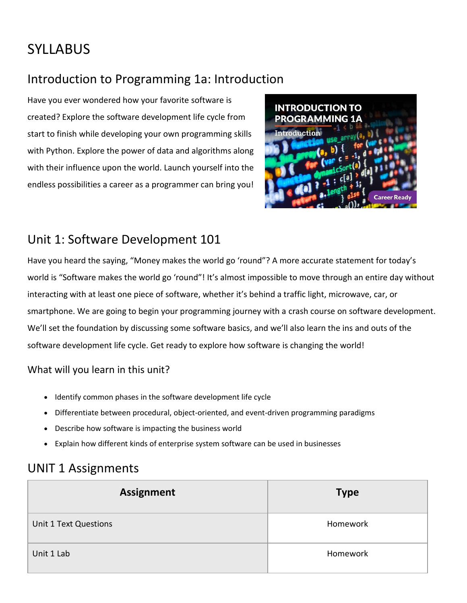# SYLLABUS

## Introduction to Programming 1a: Introduction

Have you ever wondered how your favorite software is created? Explore the software development life cycle from start to finish while developing your own programming skills with Python. Explore the power of data and algorithms along with their influence upon the world. Launch yourself into the endless possibilities a career as a programmer can bring you!



## Unit 1: Software Development 101

Have you heard the saying, "Money makes the world go 'round"? A more accurate statement for today's world is "Software makes the world go 'round"! It's almost impossible to move through an entire day without interacting with at least one piece of software, whether it's behind a traffic light, microwave, car, or smartphone. We are going to begin your programming journey with a crash course on software development. We'll set the foundation by discussing some software basics, and we'll also learn the ins and outs of the software development life cycle. Get ready to explore how software is changing the world!

#### What will you learn in this unit?

- Identify common phases in the software development life cycle
- Differentiate between procedural, object-oriented, and event-driven programming paradigms
- Describe how software is impacting the business world
- Explain how different kinds of enterprise system software can be used in businesses

## UNIT 1 Assignments

| <b>Assignment</b>     | <b>Type</b> |
|-----------------------|-------------|
| Unit 1 Text Questions | Homework    |
| Unit 1 Lab            | Homework    |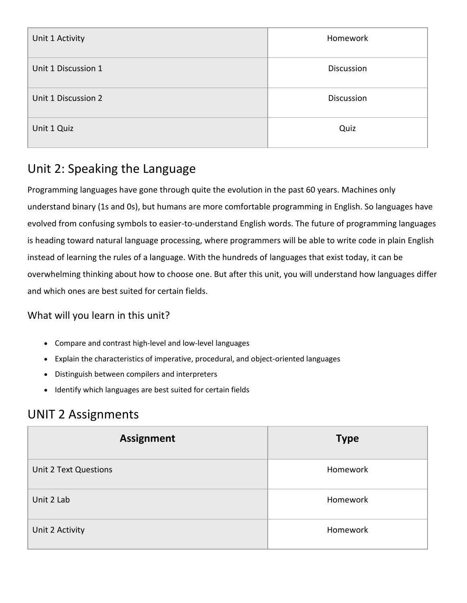| Unit 1 Activity     | Homework          |
|---------------------|-------------------|
| Unit 1 Discussion 1 | <b>Discussion</b> |
| Unit 1 Discussion 2 | <b>Discussion</b> |
| Unit 1 Quiz         | Quiz              |

## Unit 2: Speaking the Language

Programming languages have gone through quite the evolution in the past 60 years. Machines only understand binary (1s and 0s), but humans are more comfortable programming in English. So languages have evolved from confusing symbols to easier-to-understand English words. The future of programming languages is heading toward natural language processing, where programmers will be able to write code in plain English instead of learning the rules of a language. With the hundreds of languages that exist today, it can be overwhelming thinking about how to choose one. But after this unit, you will understand how languages differ and which ones are best suited for certain fields.

#### What will you learn in this unit?

- Compare and contrast high-level and low-level languages
- Explain the characteristics of imperative, procedural, and object-oriented languages
- Distinguish between compilers and interpreters
- Identify which languages are best suited for certain fields

### UNIT 2 Assignments

| <b>Assignment</b>            | <b>Type</b> |
|------------------------------|-------------|
| <b>Unit 2 Text Questions</b> | Homework    |
| Unit 2 Lab                   | Homework    |
| Unit 2 Activity              | Homework    |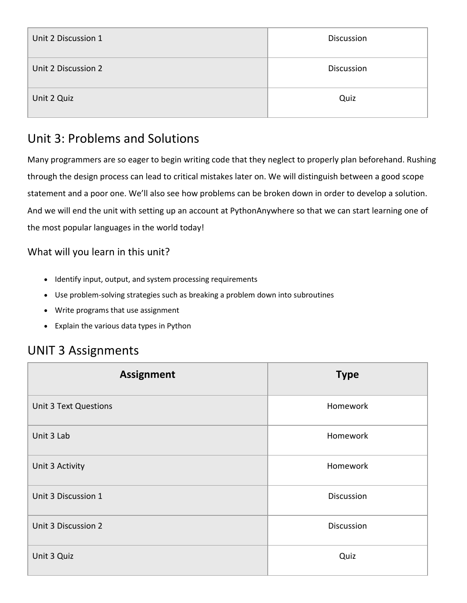| Unit 2 Discussion 1 | <b>Discussion</b> |
|---------------------|-------------------|
| Unit 2 Discussion 2 | <b>Discussion</b> |
| Unit 2 Quiz         | Quiz              |

## Unit 3: Problems and Solutions

Many programmers are so eager to begin writing code that they neglect to properly plan beforehand. Rushing through the design process can lead to critical mistakes later on. We will distinguish between a good scope statement and a poor one. We'll also see how problems can be broken down in order to develop a solution. And we will end the unit with setting up an account at PythonAnywhere so that we can start learning one of the most popular languages in the world today!

#### What will you learn in this unit?

- Identify input, output, and system processing requirements
- Use problem-solving strategies such as breaking a problem down into subroutines
- Write programs that use assignment
- Explain the various data types in Python

## UNIT 3 Assignments

| <b>Assignment</b>            | <b>Type</b> |
|------------------------------|-------------|
| <b>Unit 3 Text Questions</b> | Homework    |
| Unit 3 Lab                   | Homework    |
| Unit 3 Activity              | Homework    |
| Unit 3 Discussion 1          | Discussion  |
| Unit 3 Discussion 2          | Discussion  |
| Unit 3 Quiz                  | Quiz        |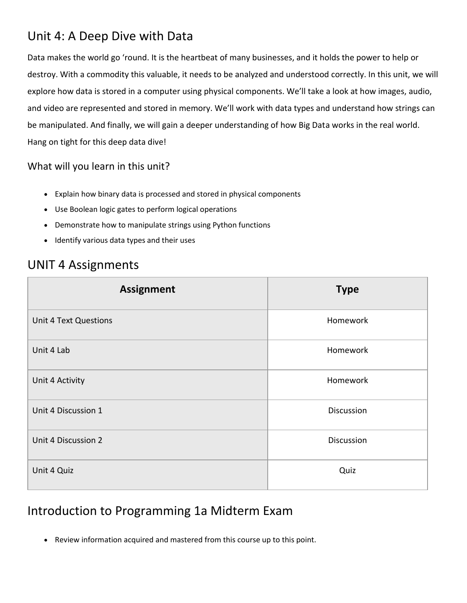### Unit 4: A Deep Dive with Data

Data makes the world go 'round. It is the heartbeat of many businesses, and it holds the power to help or destroy. With a commodity this valuable, it needs to be analyzed and understood correctly. In this unit, we will explore how data is stored in a computer using physical components. We'll take a look at how images, audio, and video are represented and stored in memory. We'll work with data types and understand how strings can be manipulated. And finally, we will gain a deeper understanding of how Big Data works in the real world. Hang on tight for this deep data dive!

#### What will you learn in this unit?

- Explain how binary data is processed and stored in physical components
- Use Boolean logic gates to perform logical operations
- Demonstrate how to manipulate strings using Python functions
- Identify various data types and their uses

#### UNIT 4 Assignments

| <b>Assignment</b>            | <b>Type</b>       |
|------------------------------|-------------------|
| <b>Unit 4 Text Questions</b> | Homework          |
| Unit 4 Lab                   | Homework          |
| Unit 4 Activity              | Homework          |
| Unit 4 Discussion 1          | Discussion        |
| Unit 4 Discussion 2          | <b>Discussion</b> |
| Unit 4 Quiz                  | Quiz              |

### Introduction to Programming 1a Midterm Exam

Review information acquired and mastered from this course up to this point.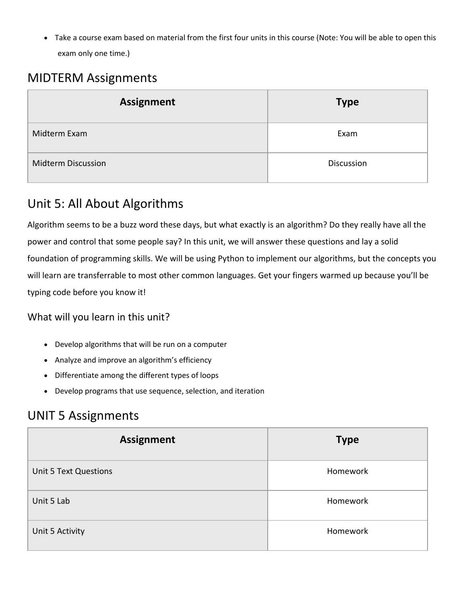Take a course exam based on material from the first four units in this course (Note: You will be able to open this exam only one time.)

## MIDTERM Assignments

| <b>Assignment</b>         | <b>Type</b>       |
|---------------------------|-------------------|
| Midterm Exam              | Exam              |
| <b>Midterm Discussion</b> | <b>Discussion</b> |

## Unit 5: All About Algorithms

Algorithm seems to be a buzz word these days, but what exactly is an algorithm? Do they really have all the power and control that some people say? In this unit, we will answer these questions and lay a solid foundation of programming skills. We will be using Python to implement our algorithms, but the concepts you will learn are transferrable to most other common languages. Get your fingers warmed up because you'll be typing code before you know it!

#### What will you learn in this unit?

- Develop algorithms that will be run on a computer
- Analyze and improve an algorithm's efficiency
- Differentiate among the different types of loops
- Develop programs that use sequence, selection, and iteration

### UNIT 5 Assignments

| <b>Assignment</b>            | <b>Type</b> |
|------------------------------|-------------|
| <b>Unit 5 Text Questions</b> | Homework    |
| Unit 5 Lab                   | Homework    |
| Unit 5 Activity              | Homework    |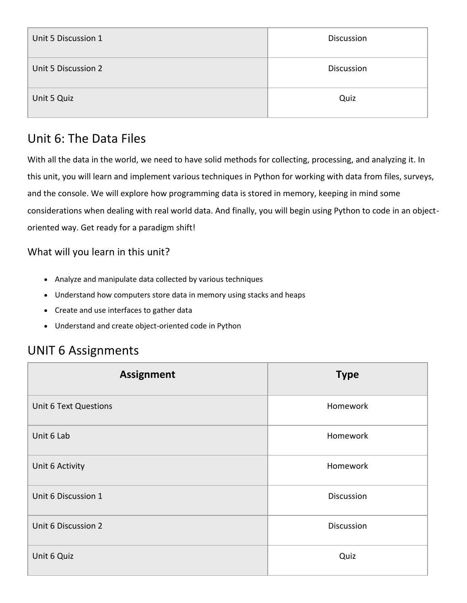| Unit 5 Discussion 1 | <b>Discussion</b> |
|---------------------|-------------------|
| Unit 5 Discussion 2 | Discussion        |
| Unit 5 Quiz         | Quiz              |

## Unit 6: The Data Files

With all the data in the world, we need to have solid methods for collecting, processing, and analyzing it. In this unit, you will learn and implement various techniques in Python for working with data from files, surveys, and the console. We will explore how programming data is stored in memory, keeping in mind some considerations when dealing with real world data. And finally, you will begin using Python to code in an objectoriented way. Get ready for a paradigm shift!

#### What will you learn in this unit?

- Analyze and manipulate data collected by various techniques
- Understand how computers store data in memory using stacks and heaps
- Create and use interfaces to gather data
- Understand and create object-oriented code in Python

## UNIT 6 Assignments

| <b>Assignment</b>            | <b>Type</b> |
|------------------------------|-------------|
| <b>Unit 6 Text Questions</b> | Homework    |
| Unit 6 Lab                   | Homework    |
| Unit 6 Activity              | Homework    |
| Unit 6 Discussion 1          | Discussion  |
| Unit 6 Discussion 2          | Discussion  |
| Unit 6 Quiz                  | Quiz        |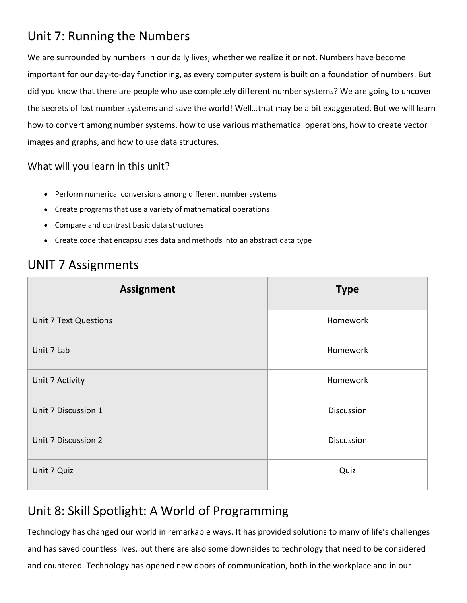## Unit 7: Running the Numbers

We are surrounded by numbers in our daily lives, whether we realize it or not. Numbers have become important for our day-to-day functioning, as every computer system is built on a foundation of numbers. But did you know that there are people who use completely different number systems? We are going to uncover the secrets of lost number systems and save the world! Well…that may be a bit exaggerated. But we will learn how to convert among number systems, how to use various mathematical operations, how to create vector images and graphs, and how to use data structures.

#### What will you learn in this unit?

- Perform numerical conversions among different number systems
- Create programs that use a variety of mathematical operations
- Compare and contrast basic data structures
- Create code that encapsulates data and methods into an abstract data type

### UNIT 7 Assignments

| <b>Assignment</b>            | <b>Type</b>       |
|------------------------------|-------------------|
| <b>Unit 7 Text Questions</b> | Homework          |
| Unit 7 Lab                   | Homework          |
| Unit 7 Activity              | Homework          |
| Unit 7 Discussion 1          | Discussion        |
| Unit 7 Discussion 2          | <b>Discussion</b> |
| Unit 7 Quiz                  | Quiz              |

## Unit 8: Skill Spotlight: A World of Programming

Technology has changed our world in remarkable ways. It has provided solutions to many of life's challenges and has saved countless lives, but there are also some downsides to technology that need to be considered and countered. Technology has opened new doors of communication, both in the workplace and in our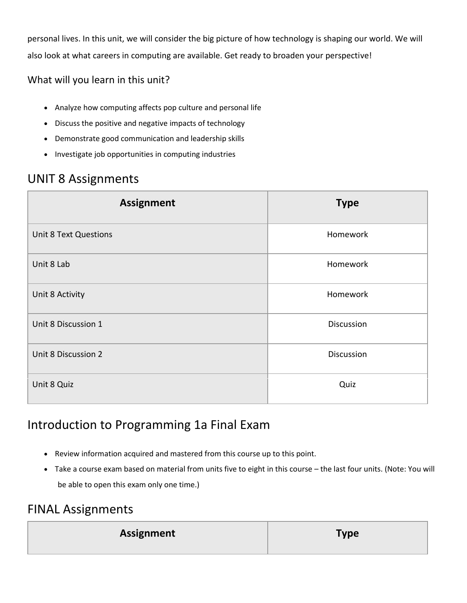personal lives. In this unit, we will consider the big picture of how technology is shaping our world. We will also look at what careers in computing are available. Get ready to broaden your perspective!

#### What will you learn in this unit?

- Analyze how computing affects pop culture and personal life
- Discuss the positive and negative impacts of technology
- Demonstrate good communication and leadership skills
- Investigate job opportunities in computing industries

## UNIT 8 Assignments

| <b>Assignment</b>            | <b>Type</b> |
|------------------------------|-------------|
| <b>Unit 8 Text Questions</b> | Homework    |
| Unit 8 Lab                   | Homework    |
| Unit 8 Activity              | Homework    |
| Unit 8 Discussion 1          | Discussion  |
| Unit 8 Discussion 2          | Discussion  |
| Unit 8 Quiz                  | Quiz        |

### Introduction to Programming 1a Final Exam

- Review information acquired and mastered from this course up to this point.
- Take a course exam based on material from units five to eight in this course the last four units. (Note: You will be able to open this exam only one time.)

### FINAL Assignments

| <b>Assignment</b> | <b>Type</b> |
|-------------------|-------------|
|                   |             |